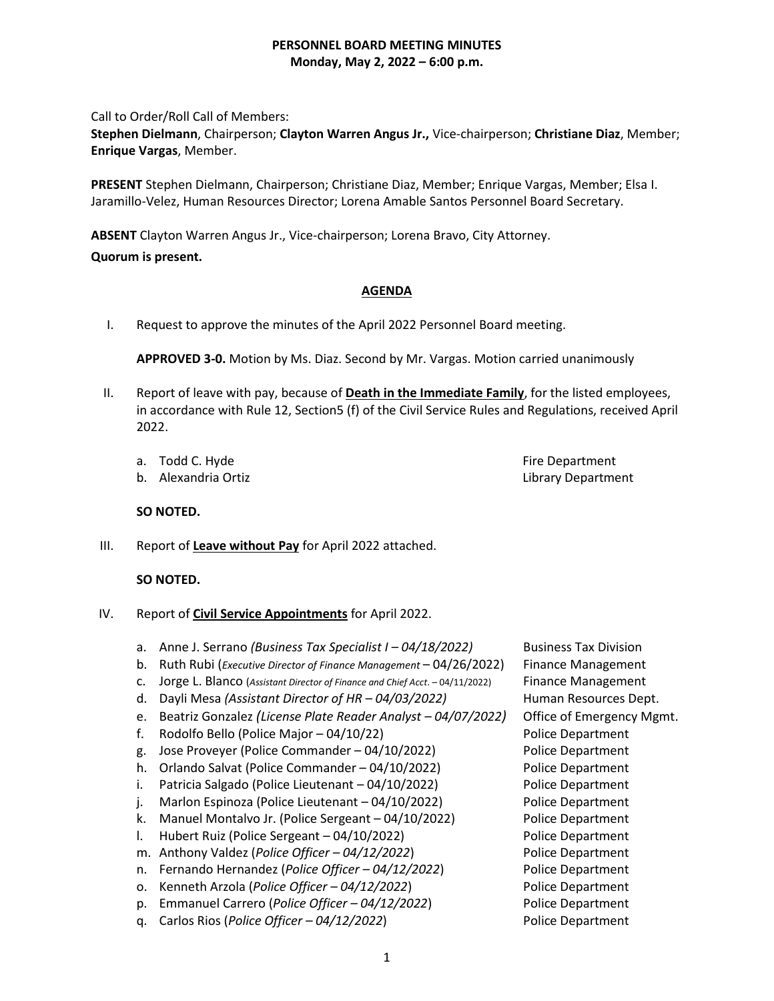Call to Order/Roll Call of Members:

**Stephen Dielmann**, Chairperson; **Clayton Warren Angus Jr.,** Vice-chairperson; **Christiane Diaz**, Member; **Enrique Vargas**, Member.

**PRESENT** Stephen Dielmann, Chairperson; Christiane Diaz, Member; Enrique Vargas, Member; Elsa I. Jaramillo-Velez, Human Resources Director; Lorena Amable Santos Personnel Board Secretary.

**ABSENT** Clayton Warren Angus Jr., Vice-chairperson; Lorena Bravo, City Attorney.

# **Quorum is present.**

# **AGENDA**

I. Request to approve the minutes of the April 2022 Personnel Board meeting.

**APPROVED 3-0.** Motion by Ms. Diaz. Second by Mr. Vargas. Motion carried unanimously

- II. Report of leave with pay, because of **Death in the Immediate Family**, for the listed employees, in accordance with Rule 12, Section5 (f) of the Civil Service Rules and Regulations, received April 2022.
	- a. Todd C. Hyde Fire Department
	- b. Alexandria Ortiz **Library Department**

**SO NOTED.**

III. Report of **Leave without Pay** for April 2022 attached.

## **SO NOTED.**

- IV. Report of **Civil Service Appointments** for April 2022.
	- a. Anne J. Serrano *(Business Tax Specialist I – 04/18/2022)* Business Tax Division
	- b. Ruth Rubi (*Executive Director of Finance Management* 04/26/2022) Finance Management
	- c. Jorge L. Blanco (*Assistant Director of Finance and Chief Acct*. 04/11/2022) Finance Management
	- d. Dayli Mesa *(Assistant Director of HR – 04/03/2022)* Human Resources Dept.
	- e. Beatriz Gonzalez *(License Plate Reader Analyst – 04/07/2022)* Office of Emergency Mgmt.
	- f. Rodolfo Bello (Police Major 04/10/22) Police Department
	- g. Jose Proveyer (Police Commander 04/10/2022) Police Department
	- h. Orlando Salvat (Police Commander 04/10/2022) Police Department
	- i. Patricia Salgado (Police Lieutenant 04/10/2022) Police Department
	- j. Marlon Espinoza (Police Lieutenant 04/10/2022) Police Department
	- k. Manuel Montalvo Jr. (Police Sergeant 04/10/2022) Police Department
	- l. Hubert Ruiz (Police Sergeant 04/10/2022) Police Department
	- m. Anthony Valdez (*Police Officer – 04/12/2022*) Police Department
	- n. Fernando Hernandez (*Police Officer – 04/12/2022*) Police Department
	- o. Kenneth Arzola (*Police Officer – 04/12/2022*) Police Department
	- p. Emmanuel Carrero (*Police Officer – 04/12/2022*) Police Department
	- q. Carlos Rios (*Police Officer – 04/12/2022*) Police Department
- 
-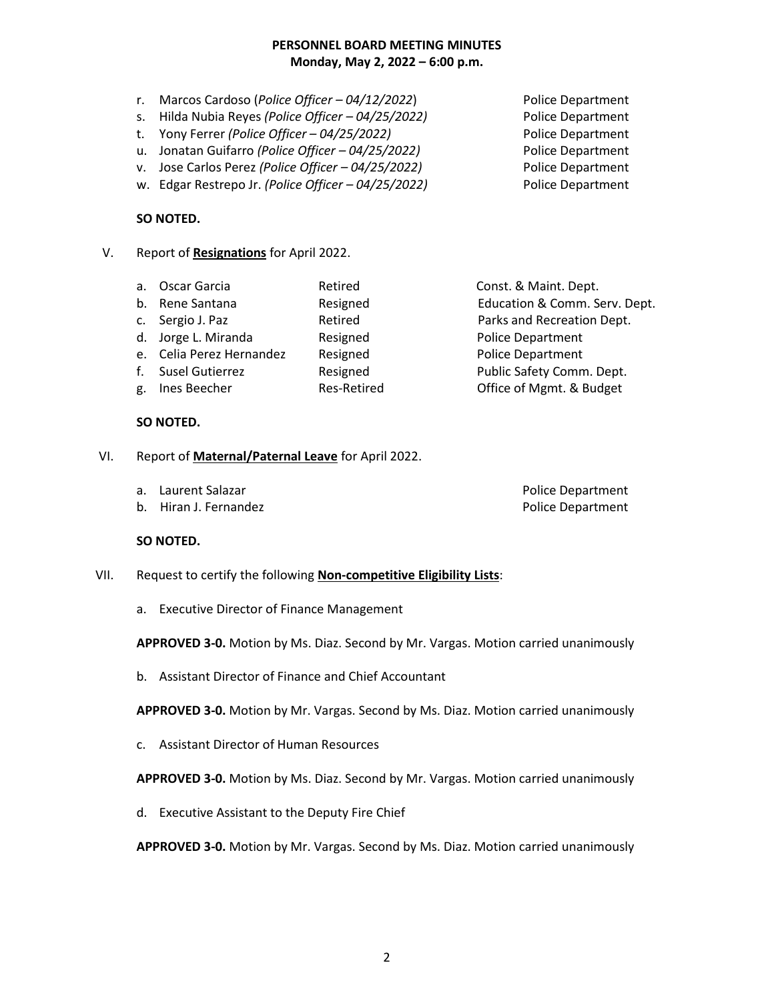- r. Marcos Cardoso (*Police Officer – 04/12/2022*) Police Department
- s. Hilda Nubia Reyes *(Police Officer – 04/25/2022)* Police Department
- t. Yony Ferrer *(Police Officer – 04/25/2022)* Police Department
- u. Jonatan Guifarro *(Police Officer – 04/25/2022)* Police Department
- v. Jose Carlos Perez *(Police Officer – 04/25/2022)* Police Department
- w. Edgar Restrepo Jr. *(Police Officer – 04/25/2022)* Police Department

## **SO NOTED.**

- V. Report of **Resignations** for April 2022.
	- a. Oscar Garcia Retired Const. & Maint. Dept. b. Rene Santana Resigned Education & Comm. Serv. Dept. c. Sergio J. Paz **Retired** Parks and Recreation Dept. d. Jorge L. Miranda **Resigned** Resigned Police Department e. Celia Perez Hernandez Resigned Police Department f. Susel Gutierrez **Resigned** Public Safety Comm. Dept. g. Ines Beecher **Res-Retired Communist Communist Communist Communist Communist Communist Communist Communist Communist Communist Communist Communist Communist Communist Communist Communist Communist Communist Communist C**
	- **SO NOTED.**
- VI. Report of **Maternal/Paternal Leave** for April 2022.
	- a. Laurent Salazar **Police Department**
	- b. Hiran J. Fernandez **Police Department**

### **SO NOTED.**

- VII. Request to certify the following **Non-competitive Eligibility Lists**:
	- a. Executive Director of Finance Management

**APPROVED 3-0.** Motion by Ms. Diaz. Second by Mr. Vargas. Motion carried unanimously

b. Assistant Director of Finance and Chief Accountant

**APPROVED 3-0.** Motion by Mr. Vargas. Second by Ms. Diaz. Motion carried unanimously

c. Assistant Director of Human Resources

**APPROVED 3-0.** Motion by Ms. Diaz. Second by Mr. Vargas. Motion carried unanimously

d. Executive Assistant to the Deputy Fire Chief

**APPROVED 3-0.** Motion by Mr. Vargas. Second by Ms. Diaz. Motion carried unanimously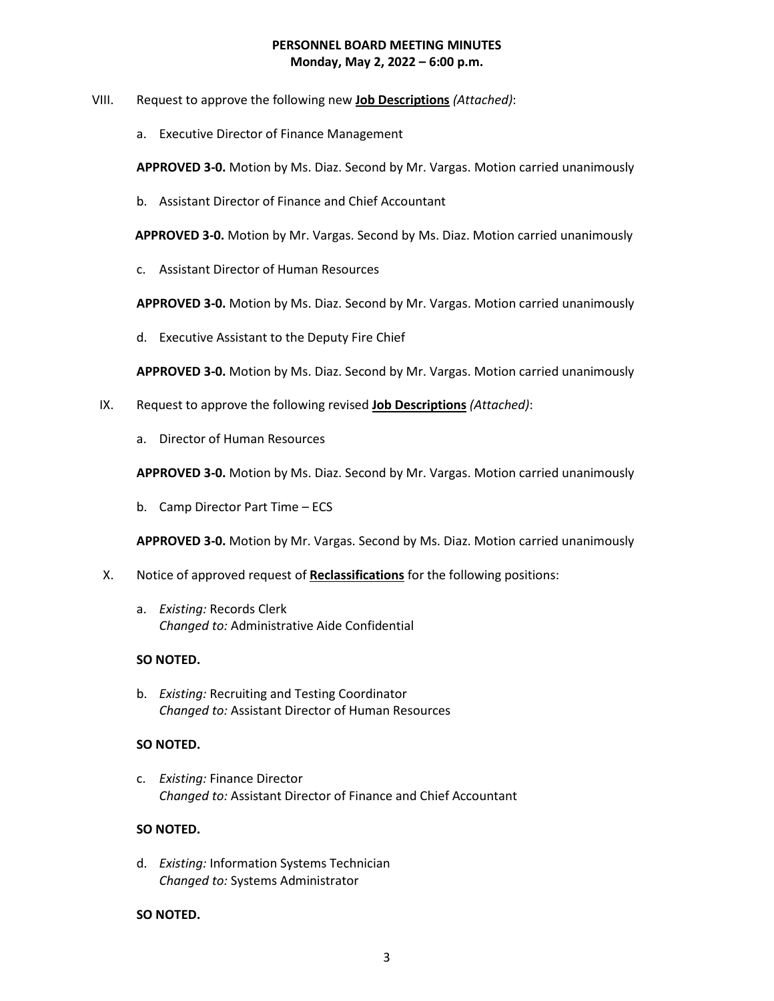- VIII. Request to approve the following new **Job Descriptions** *(Attached)*:
	- a. Executive Director of Finance Management

**APPROVED 3-0.** Motion by Ms. Diaz. Second by Mr. Vargas. Motion carried unanimously

b. Assistant Director of Finance and Chief Accountant

 **APPROVED 3-0.** Motion by Mr. Vargas. Second by Ms. Diaz. Motion carried unanimously

c. Assistant Director of Human Resources

**APPROVED 3-0.** Motion by Ms. Diaz. Second by Mr. Vargas. Motion carried unanimously

d. Executive Assistant to the Deputy Fire Chief

**APPROVED 3-0.** Motion by Ms. Diaz. Second by Mr. Vargas. Motion carried unanimously

- IX. Request to approve the following revised **Job Descriptions** *(Attached)*:
	- a. Director of Human Resources

**APPROVED 3-0.** Motion by Ms. Diaz. Second by Mr. Vargas. Motion carried unanimously

b. Camp Director Part Time – ECS

**APPROVED 3-0.** Motion by Mr. Vargas. Second by Ms. Diaz. Motion carried unanimously

- X. Notice of approved request of **Reclassifications** for the following positions:
	- a. *Existing:* Records Clerk *Changed to:* Administrative Aide Confidential

## **SO NOTED.**

b. *Existing:* Recruiting and Testing Coordinator *Changed to:* Assistant Director of Human Resources

### **SO NOTED.**

c. *Existing:* Finance Director *Changed to:* Assistant Director of Finance and Chief Accountant

### **SO NOTED.**

d. *Existing:* Information Systems Technician *Changed to:* Systems Administrator

### **SO NOTED.**